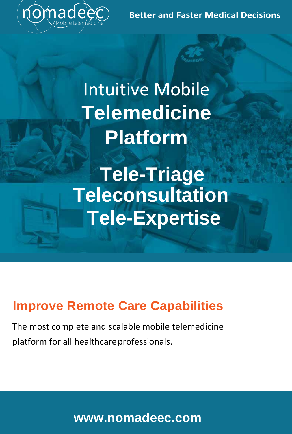**Better and Faster Medical Decisions**



Intuitive Mobile **Telemedicine Platform**

**Tele-Triage Teleconsultation Tele-Expertise**

## **Improve Remote Care Capabilities**

The most complete and scalable mobile telemedicine platform for all healthcare professionals.

**[www.nomadeec.com](http://www.nomadeec.com/)**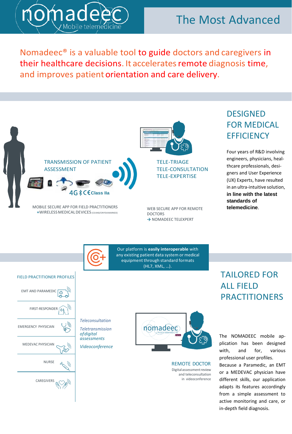

## The Most Advanced

in-depth field diagnosis.

Nomadeec® is a valuable tool to guide doctors and caregivers in their healthcare decisions. It accelerates remote diagnosis time, and improves patient orientation and care delivery.

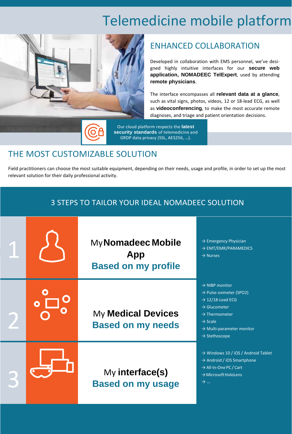# Telemedicine mobile platform



#### ENHANCED COLLABORATION

Developed in collaboration with EMS personnel, we've designed highly intuitive interfaces for our **secure web application, NOMADEEC TelExpert**, used by attending **remote physicians**.

The interface encompasses all **relevant data at a glance**, such as vital signs, photos, videos, 12 or 18-lead ECG, as well as **videoconferencing**, to make the most accurate remote diagnoses, and triage and patient orientation decisions.

Our cloud platform respects the **latest security standards** of telemedicine and GRDP data privacy (SSL, AES256, …).

#### THE MOST CUSTOMIZABLE SOLUTION

Field practitioners can choose the most suitable equipment, depending on their needs, usage and profile, in order to set up the most relevant solution for their daily professional activity.

| 3 STEPS TO TAILOR YOUR IDEAL NOMADEEC SOLUTION |  |                                                         |                                                                                                                                                                                                                                                         |  |  |
|------------------------------------------------|--|---------------------------------------------------------|---------------------------------------------------------------------------------------------------------------------------------------------------------------------------------------------------------------------------------------------------------|--|--|
|                                                |  | My Nomadeec Mobile<br>App<br><b>Based on my profile</b> | $\rightarrow$ Emergency Physician<br>$\rightarrow$ EMT/EMR/PARAMEDICS<br>$\rightarrow$ Nurses                                                                                                                                                           |  |  |
|                                                |  | <b>My Medical Devices</b><br><b>Based on my needs</b>   | $\rightarrow$ NIBP monitor<br>$\rightarrow$ Pulse oximeter (SPO2)<br>$\rightarrow$ 12/18-Lead ECG<br>$\rightarrow$ Glucometer<br>$\rightarrow$ Thermometer<br>$\rightarrow$ Scale<br>$\rightarrow$ Multi-parameter monitor<br>$\rightarrow$ Stethoscope |  |  |
|                                                |  | My interface(s)<br><b>Based on my usage</b>             | $\rightarrow$ Windows 10 / iOS / Android Tablet<br>$\rightarrow$ Android / iOS Smartphone<br>→ All-In-One PC / Cart<br>$\rightarrow$ Microsoft HoloLens<br>$\rightarrow$                                                                                |  |  |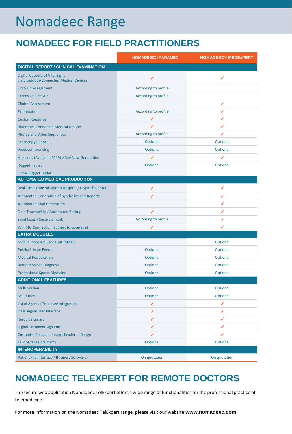# Nomadeec Range

## **NOMADEEC FOR FIELD PRACTITIONERS**

|                                                                                  | <b>NOMADEEC® PARAMED</b> | <b>NOMADEEC® MEDExPERT</b> |
|----------------------------------------------------------------------------------|--------------------------|----------------------------|
| DIGITAL REPORT / CLINICAL ExAMINATION                                            |                          |                            |
| <b>Digital Capture of Vital Signs</b><br>via Bluetooth-Connected Medical Devices | √                        | √                          |
| <b>First-Aid Assessment</b>                                                      | According to profile     |                            |
| <b>Extensive First-Aid</b>                                                       | According to profile     |                            |
| <b>Clinical Assessment</b>                                                       |                          | √                          |
| Examination                                                                      | According to profile     | √                          |
| <b>Custom Gestures</b>                                                           | √                        | √                          |
| <b>Bluetooth-Connected Medical Devices</b>                                       | √                        | √                          |
| <b>Photos and Video Sequences</b>                                                | According to profile     | √                          |
| <b>Echoscopy Report</b>                                                          | Optional                 | Optional                   |
| Videoconferencing                                                                | Optional                 | Optional                   |
| HoloLens (Available 2019) > See New Generation                                   | $\checkmark$             | √                          |
| <b>Rugged Tablet</b>                                                             | Optional                 | Optional                   |
| <b>Ultra-Rugged Tablet</b>                                                       |                          |                            |
| <b>AUTOMATED MEDICAL PRODUCTION</b>                                              |                          |                            |
| Real-Time Transmission to Hospital / Dispatch Center                             | √                        | √                          |
| <b>Automated Generation of Syntheses and Reports</b>                             | √                        | √                          |
| <b>Automated Mail Generation</b>                                                 |                          | √                          |
| Data Traceability / Automated Backup                                             | ✓                        | √                          |
| Send faxes / Secure e-mails                                                      | According to profile     | √                          |
| WIFI/4G Connection (subject to coverage)                                         | √                        | √                          |
| <b>EXTRA MODULES</b>                                                             |                          |                            |
| Mobile Intensive Care Unit (MICU)                                                |                          | Optional                   |
| <b>Public/Private Events</b>                                                     | Optional                 | Optional                   |
| <b>Medical Repatriation</b>                                                      | Optional                 | Optional                   |
| <b>Remote Stroke Diagnosis</b>                                                   | Optional                 | Optional                   |
| <b>Professional Sports Medicine</b>                                              | Optional                 | Optional                   |
| <b>ADDITIONAL FEATURES</b>                                                       |                          |                            |
| Multi-version                                                                    | Optional                 | Optional                   |
| Multi-user                                                                       | Optional                 | Optional                   |
| List of Agents / Employee Integration                                            | $\checkmark$             | $\checkmark$               |
| <b>Multilingual User Interface</b>                                               | √                        | √                          |
| <b>Resource Library</b>                                                          | $\checkmark$             | √                          |
| <b>Digital Document Signature</b>                                                | √                        | √                          |
| Customize Documents (logo, header) Design                                        | √                        | √                          |
| <b>Tailor-Made Documents</b>                                                     | Optional                 | Optional                   |
| <b>INTEROPERABILITY</b>                                                          |                          |                            |
| Patient File Interface / Business Software                                       | On quotation             | On quotation               |

## **NOMADEEC TELEXPERT FOR REMOTE DOCTORS**

The secure web application Nomadeec TelExpert offers a wide range of functionalities for the professional practice of telemedicine.

For more information on the Nomadeec TelExpert range, please visit our website **[www.nomadeec.com.](http://www.nomadeec.com/)**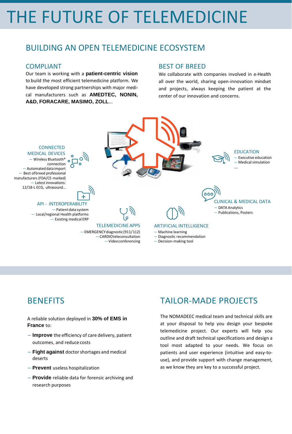# THE FUTURE OF TELEMEDICINE

#### BUILDING AN OPEN TELEMEDICINE ECOSYSTEM

#### COMPLIANT

Our team is working with a **patient-centric vision**  to build the most efficient telemedicine platform. We have developed strong partnerships with major medical manufacturers such as **AMEDTEC, NONIN, A&D, FORACARE, MASIMO, ZOLL**...

#### BEST OF BREED

We collaborate with companies involved in e-Health all over the world, sharing open-innovation mindset and projects, always keeping the patient at the center of our innovation and concerns.



#### **BENEFITS**

A reliable solution deployed in **30% of EMS in France** to:

- **Improve** the efficiency of care delivery, patient outcomes, and reduce costs
- **Fight against** doctorshortages and medical deserts
- **Prevent** useless hospitalization
- **Provide** reliable data for forensic archiving and research purposes

### TAILOR-MADE PROJECTS

The NOMADEEC medical team and technical skills are at your disposal to help you design your bespoke telemedicine project. Our experts will help you outline and draft technical specifications and design a tool most adapted to your needs. We focus on patients and user experience (intuitive and easy-touse), and provide support with change management, as we know they are key to a successful project.